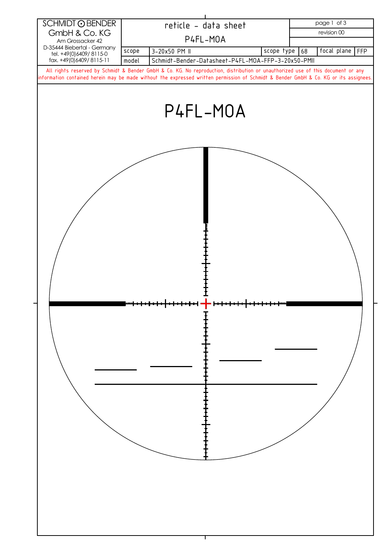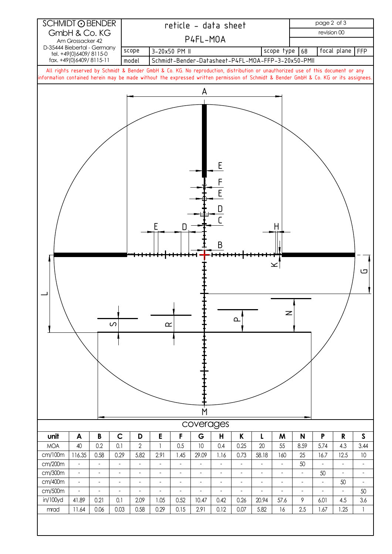